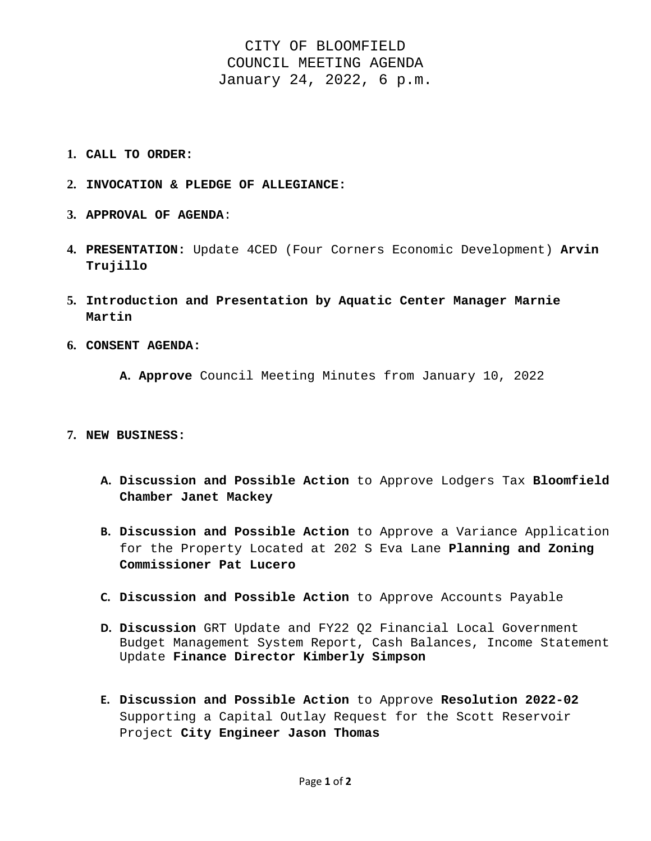# CITY OF BLOOMFIELD COUNCIL MEETING AGENDA January 24, 2022, 6 p.m.

- **1. CALL TO ORDER:**
- **2. INVOCATION & PLEDGE OF ALLEGIANCE:**
- **3. APPROVAL OF AGENDA**:
- **4. PRESENTATION:** Update 4CED (Four Corners Economic Development) **Arvin Trujillo**
- **5. Introduction and Presentation by Aquatic Center Manager Marnie Martin**
- **6. CONSENT AGENDA:** 
	- **A. Approve** Council Meeting Minutes from January 10, 2022

#### **7. NEW BUSINESS:**

- **A. Discussion and Possible Action** to Approve Lodgers Tax **Bloomfield Chamber Janet Mackey**
- **B. Discussion and Possible Action** to Approve a Variance Application for the Property Located at 202 S Eva Lane **Planning and Zoning Commissioner Pat Lucero**
- **C. Discussion and Possible Action** to Approve Accounts Payable
- **D. Discussion** GRT Update and FY22 Q2 Financial Local Government Budget Management System Report, Cash Balances, Income Statement Update **Finance Director Kimberly Simpson**
- **E. Discussion and Possible Action** to Approve **Resolution 2022-02**  Supporting a Capital Outlay Request for the Scott Reservoir Project **City Engineer Jason Thomas**